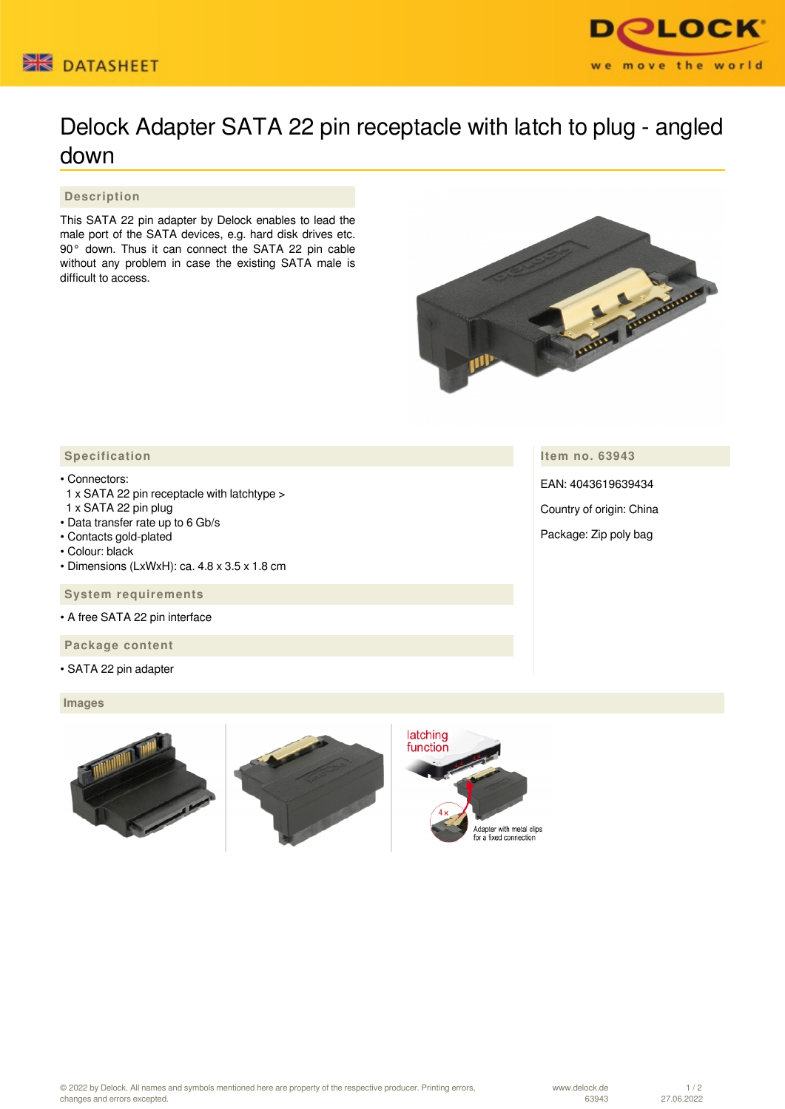



## Delock Adapter SATA 22 pin receptacle with latch to plug - angled down

 **Description**

This SATA 22 pin adapter by Delock enables to lead the male port of the SATA devices, e.g. hard disk drives etc. 90° down. Thus it can connect the SATA 22 pin cable without any problem in case the existing SATA male is difficult to access.



**Item no. 63943**

EAN: 4043619639434

Country of origin: China

Package: Zip poly bag

## **Specification**

• Connectors:

- 1 x SATA 22 pin receptacle with latchtype >
- 1 x SATA 22 pin plug
- Data transfer rate up to 6 Gb/s
- Contacts gold-plated
- Colour: black
- Dimensions (LxWxH): ca. 4.8 x 3.5 x 1.8 cm

 **System requirements**

• A free SATA 22 pin interface

 **Package content**

• SATA 22 pin adapter

 **Images**